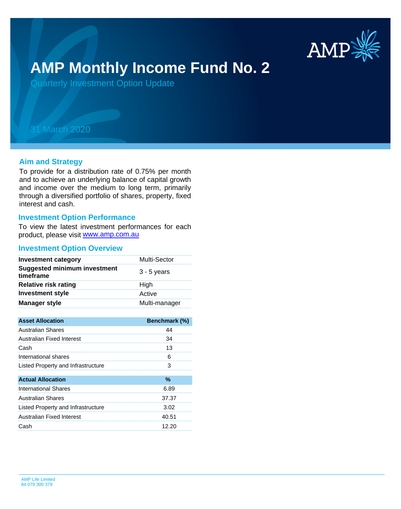

# **AMP Monthly Income Fund No. 2**

Quarterly Investment Option Update

## 31 March 2020

#### **Aim and Strategy**

To provide for a distribution rate of 0.75% per month and to achieve an underlying balance of capital growth and income over the medium to long term, primarily through a diversified portfolio of shares, property, fixed interest and cash.

#### **Investment Option Performance**

product, please visit [www.amp.com.au](https://www.amp.com.au) To view the latest investment performances for each

#### **Investment Option Overview**

| <b>Investment category</b>                       | Multi-Sector  |
|--------------------------------------------------|---------------|
| <b>Suggested minimum investment</b><br>timeframe | $3 - 5$ years |
| <b>Relative risk rating</b>                      | High          |
| <b>Investment style</b>                          | Active        |
| <b>Manager style</b>                             | Multi-manager |

| <b>Asset Allocation</b>            | Benchmark (%) |
|------------------------------------|---------------|
| <b>Australian Shares</b>           | 44            |
| Australian Fixed Interest          | 34            |
| Cash                               | 13            |
| International shares               | 6             |
| Listed Property and Infrastructure | 3             |
|                                    |               |
| <b>Actual Allocation</b>           | $\frac{9}{6}$ |
| International Shares               | 6.89          |
| <b>Australian Shares</b>           | 37.37         |
| Listed Property and Infrastructure | 3.02          |
| Australian Fixed Interest          | 40.51         |
| Cash                               | 12.20         |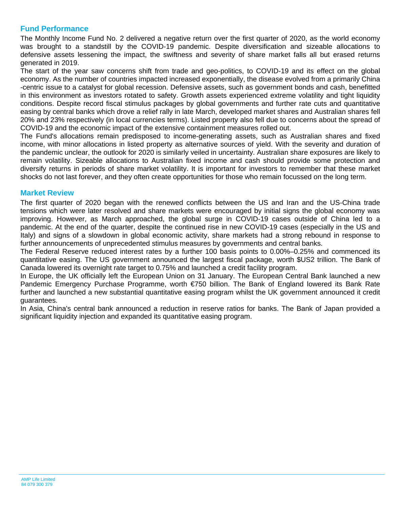### **Fund Performance**

The Monthly Income Fund No. 2 delivered a negative return over the first quarter of 2020, as the world economy was brought to a standstill by the COVID-19 pandemic. Despite diversification and sizeable allocations to defensive assets lessening the impact, the swiftness and severity of share market falls all but erased returns generated in 2019.

The start of the year saw concerns shift from trade and geo-politics, to COVID-19 and its effect on the global economy. As the number of countries impacted increased exponentially, the disease evolved from a primarily China -centric issue to a catalyst for global recession. Defensive assets, such as government bonds and cash, benefitted in this environment as investors rotated to safety. Growth assets experienced extreme volatility and tight liquidity conditions. Despite record fiscal stimulus packages by global governments and further rate cuts and quantitative easing by central banks which drove a relief rally in late March, developed market shares and Australian shares fell 20% and 23% respectively (in local currencies terms). Listed property also fell due to concerns about the spread of COVID-19 and the economic impact of the extensive containment measures rolled out.

The Fund's allocations remain predisposed to income-generating assets, such as Australian shares and fixed income, with minor allocations in listed property as alternative sources of yield. With the severity and duration of the pandemic unclear, the outlook for 2020 is similarly veiled in uncertainty. Australian share exposures are likely to remain volatility. Sizeable allocations to Australian fixed income and cash should provide some protection and diversify returns in periods of share market volatility. It is important for investors to remember that these market shocks do not last forever, and they often create opportunities for those who remain focussed on the long term.

#### **Market Review**

The first quarter of 2020 began with the renewed conflicts between the US and Iran and the US-China trade tensions which were later resolved and share markets were encouraged by initial signs the global economy was improving. However, as March approached, the global surge in COVID-19 cases outside of China led to a pandemic. At the end of the quarter, despite the continued rise in new COVID-19 cases (especially in the US and Italy) and signs of a slowdown in global economic activity, share markets had a strong rebound in response to further announcements of unprecedented stimulus measures by governments and central banks.

The Federal Reserve reduced interest rates by a further 100 basis points to 0.00%–0.25% and commenced its quantitative easing. The US government announced the largest fiscal package, worth \$US2 trillion. The Bank of Canada lowered its overnight rate target to 0.75% and launched a credit facility program.

In Europe, the UK officially left the European Union on 31 January. The European Central Bank launched a new Pandemic Emergency Purchase Programme, worth €750 billion. The Bank of England lowered its Bank Rate further and launched a new substantial quantitative easing program whilst the UK government announced it credit guarantees.

In Asia, China's central bank announced a reduction in reserve ratios for banks. The Bank of Japan provided a significant liquidity injection and expanded its quantitative easing program.